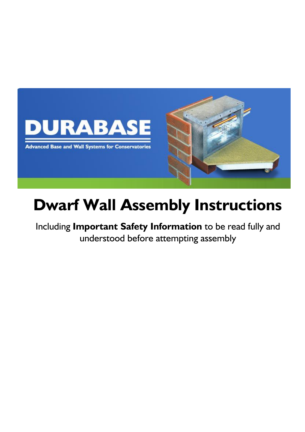

# **Dwarf Wall Assembly Instructions**

Including **Important Safety Information** to be read fully and understood before attempting assembly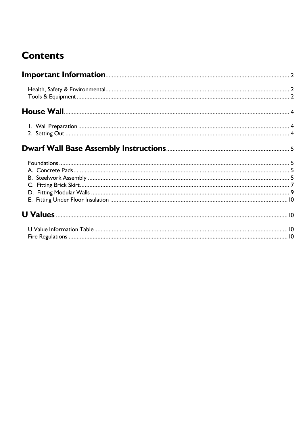# **Contents**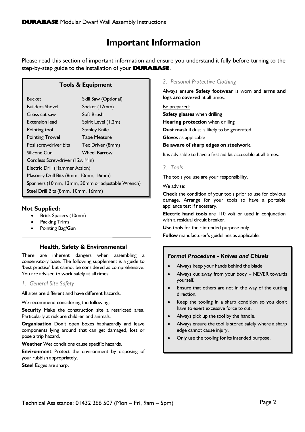# **Important Information**

<span id="page-2-0"></span>Please read this section of important information and ensure you understand it fully before turning to the step-by-step guide to the installation of your **DURABASE**.

# **Tools & Equipment**

| <b>Bucket</b>                                    | Skill Saw (Optional) |  |
|--------------------------------------------------|----------------------|--|
| <b>Builders Shovel</b>                           | Socket (17mm)        |  |
| Cross cut saw                                    | Soft Brush           |  |
| Extension lead                                   | Spirit Level (1.2m)  |  |
| Pointing tool                                    | <b>Stanley Knife</b> |  |
| <b>Pointing Trowel</b>                           | <b>Tape Measure</b>  |  |
| Posi screwdriver bits                            | Tec Driver (8mm)     |  |
| Silicone Gun                                     | Wheel Barrow         |  |
| Cordless Screwdriver (12v. Min)                  |                      |  |
| Electric Drill (Hammer Action)                   |                      |  |
| Masonry Drill Bits (8mm, 10mm, 16mm)             |                      |  |
| Spanners (10mm, 13mm, 30mm or adjustable Wrench) |                      |  |
| Steel Drill Bits (8mm, 10mm, 16mm)               |                      |  |

# **Not Supplied:**

- Brick Spacers (10mm)
- Packing Trims
- Pointing Bag/Gun

# **Health, Safety & Environmental**

<span id="page-2-1"></span>There are inherent dangers when assembling a conservatory base. The following supplement is a guide to 'best practise' but cannot be considered as comprehensive. You are advised to work safely at all times.

#### *1. General Site Safety*

All sites are different and have different hazards.

#### We recommend considering the following:

**Security** Make the construction site a restricted area. Particularly at risk are children and animals.

**Organisation** Don't open boxes haphazardly and leave components lying around that can get damaged, lost or pose a trip hazard.

**Weather** Wet conditions cause specific hazards.

**Environment** Protect the environment by disposing of your rubbish appropriately.

**Steel** Edges are sharp.

# *2. Personal Protective Clothing*

Always ensure **Safety footwear** is worn and **arms and legs are covered** at all times.

Be prepared: **Safety glasses** when drilling **Hearing protection** when drilling **Dust mask** if dust is likely to be generated **Gloves** as applicable **Be aware of sharp edges on steelwork.**

It is advisable to have a first aid kit accessible at all times.

#### *3. Tools*

The tools you use are your responsibility.

#### We advise:

**Check** the condition of your tools prior to use for obvious damage. Arrange for your tools to have a portable appliance test if necessary.

**Electric hand tools** are 110 volt or used in conjunction with a residual circuit breaker.

**Use** tools for their intended purpose only.

**Follow** manufacturer's guidelines as applicable.

# *Formal Procedure - Knives and Chisels*

- Always keep your hands behind the blade.
- Always cut away from your body NEVER towards yourself.
- Ensure that others are not in the way of the cutting direction.
- Keep the tooling in a sharp condition so you don't have to exert excessive force to cut.
- Always pick up the tool by the handle.
- Always ensure the tool is stored safely where a sharp edge cannot cause injury.
- Only use the tooling for its intended purpose.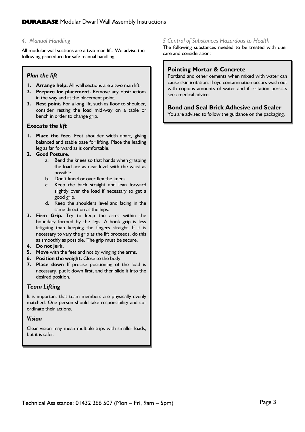# *4. Manual Handling*

All modular wall sections are a two man lift. We advise the following procedure for safe manual handling:

# *Plan the lift*

- **1. Arrange help.** All wall sections are a two man lift.
- **2. Prepare for placement.** Remove any obstructions in the way and at the placement point.
- **3. Rest point.** For a long lift, such as floor to shoulder, consider resting the load mid-way on a table or bench in order to change grip.

#### *Execute the lift*

**1. Place the feet.** Feet shoulder width apart, giving balanced and stable base for lifting. Place the leading leg as far forward as is comfortable.

#### **2. Good Posture.**

- a. Bend the knees so that hands when grasping the load are as near level with the waist as possible.
- b. Don't kneel or over flex the knees.
- c. Keep the back straight and lean forward slightly over the load if necessary to get a good grip.
- d. Keep the shoulders level and facing in the same direction as the hips.
- **3. Firm Grip.** Try to keep the arms within the boundary formed by the legs. A hook grip is less fatiguing than keeping the fingers straight. If it is necessary to vary the grip as the lift proceeds, do this as smoothly as possible. The grip must be secure.
- **4. Do not jerk.**
- **5. Move** with the feet and not by winging the arms.
- **6. Position the weight.** Close to the body
- **7. Place down** If precise positioning of the load is necessary, put it down first, and then slide it into the desired position.

# *Team Lifting*

It is important that team members are physically evenly matched. One person should take responsibility and coordinate their actions.

# *Vision*

Clear vision may mean multiple trips with smaller loads, but it is safer.

#### *5 Control of Substances Hazardous to Health*

The following substances needed to be treated with due care and consideration:

# **Pointing Mortar & Concrete**

Portland and other cements when mixed with water can cause skin irritation. If eye contamination occurs wash out with copious amounts of water and if irritation persists seek medical advice.

# **Bond and Seal Brick Adhesive and Sealer**

You are advised to follow the guidance on the packaging.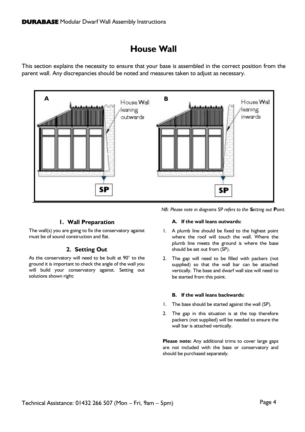# **House Wall**

<span id="page-4-0"></span>This section explains the necessity to ensure that your base is assembled in the correct position from the parent wall. Any discrepancies should be noted and measures taken to adjust as necessary.



# **1. Wall Preparation**

<span id="page-4-1"></span>The wall(s) you are going to fix the conservatory against must be of sound construction and flat.

# **2. Setting Out**

<span id="page-4-2"></span>As the conservatory will need to be built at 90° to the ground it is important to check the angle of the wall you will build your conservatory against. Setting out solutions shown right:

*NB: Please note in diagrams* SP *refers to the* **S***etting out* **P***oint.*

#### **A. If the wall leans outwards:**

- 1. A plumb line should be fixed to the highest point where the roof will touch the wall. Where the plumb line meets the ground is where the base should be set out from (SP).
- 2. The gap will need to be filled with packers (not supplied) so that the wall bar can be attached vertically. The base and dwarf wall size will need to be started from this point.

#### **B. If the wall leans backwards:**

- 1. The base should be started against the wall (SP).
- 2. The gap in this situation is at the top therefore packers (not supplied) will be needed to ensure the wall bar is attached vertically.

**Please note:** Any additional trims to cover large gaps are not included with the base or conservatory and should be purchased separately.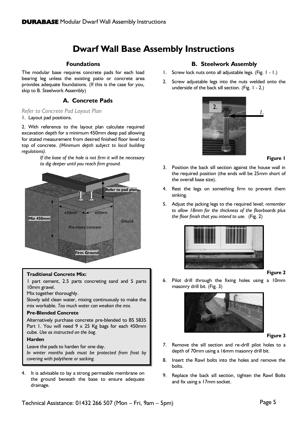# **Dwarf Wall Base Assembly Instructions**

#### <span id="page-5-1"></span>**Foundations**

<span id="page-5-0"></span>The modular base requires concrete pads for each load bearing leg unless the existing patio or concrete area provides adequate foundations. (If this is the case for you, skip to B. Steelwork Assembly)

# **A. Concrete Pads**

#### <span id="page-5-2"></span>*Refer to Concrete Pad Layout Plan*

1. Layout pad positions.

2. With reference to the layout plan calculate required excavation depth for a minimum 450mm deep pad allowing for stated measurement from desired finished floor level to top of concrete. *(Minimum depth subject to local building regulations).*

> *If the base of the hole is not firm it will be necessary to dig deeper until you reach firm ground.*



#### **Traditional Concrete Mix:**

1 part cement, 2.5 parts concreting sand and 5 parts 10mm gravel.

Mix together thoroughly.

Slowly add clean water, mixing continuously to make the mix workable. *Too much water can weaken the mix.*

#### **Pre-Blended Concrete**

Alternatively purchase concrete pre-blended to BS 5835 Part 1. You will need 9 x 25 Kg bags for each 450mm cube. *Use as instructed on the bag.*

#### **Harden**

Leave the pads to harden for one day. *In winter months pads must be protected from frost by covering with polythene or sacking.* 

<span id="page-5-3"></span>4. It is advisable to lay a strong permeable membrane on the ground beneath the base to ensure adequate drainage.

### **B. Steelwork Assembly**

- 1. Screw lock nuts onto all adjustable legs. (Fig. 1 1.)
- 2. Screw adjustable legs into the nuts welded onto the underside of the back sill section. (Fig. 1 - 2.)



#### **Figure 1**

- 3. Position the back sill section against the house wall in the required position (the ends will be 25mm short of the overall base size).
- 4. Rest the legs on something firm to prevent them sinking.
- 5. Adjust the jacking legs to the required level; *remember to allow 18mm for the thickness of the floorboards plus the floor finish that you intend to use.* (Fig. 2)



#### **Figure 2**

6. Pilot drill through the fixing holes using a 10mm masonry drill bit. (Fig. 3)



#### **Figure 3**

- 7. Remove the sill section and re-drill pilot holes to a depth of 70mm using a 16mm masonry drill bit.
- 8. Insert the Rawl bolts into the holes and remove the bolts.
- 9. Replace the back sill section, tighten the Rawl Bolts and fix using a 17mm socket.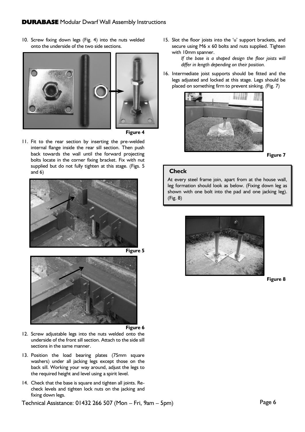10. Screw fixing down legs (Fig. 4) into the nuts welded onto the underside of the two side sections.







11. Fit to the rear section by inserting the pre-welded internal flange inside the rear sill section. Then push back towards the wall until the forward projecting bolts locate in the corner fixing bracket. Fix with nut supplied but do not fully tighten at this stage. (Figs. 5 and 6)



<span id="page-6-0"></span>



**Figure 6**

- 12. Screw adjustable legs into the nuts welded onto the underside of the front sill section. Attach to the side sill sections in the same manner.
- 13. Position the load bearing plates (75mm square washers) under all jacking legs except those on the back sill. Working your way around, adjust the legs to the required height and level using a spirit level.
- 14. Check that the base is square and tighten all joints. Recheck levels and tighten lock nuts on the jacking and fixing down legs.

Technical Assistance: 01432 266 507 (Mon – Fri, 9am – 5pm)

15. Slot the floor joists into the 'u' support brackets, and secure using M6 x 60 bolts and nuts supplied. Tighten with 10mm spanner.

> *If the base is a shaped design the floor joists will differ in length depending on their position.*

16. Intermediate joist supports should be fitted and the legs adjusted and locked at this stage. Legs should be placed on something firm to prevent sinking. *(*Fig. 7)



**Figure 7**

#### **Check**

At every steel frame join, apart from at the house wall, leg formation should look as below. (Fixing down leg as shown with one bolt into the pad and one jacking leg). (Fig. 8)



**Figure 8**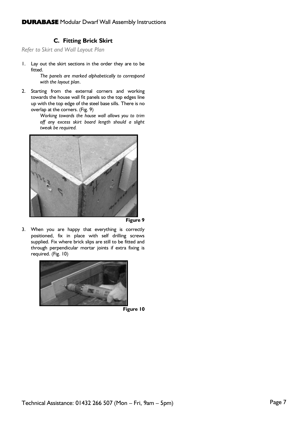# **C. Fitting Brick Skirt**

*Refer to Skirt and Wall Layout Plan*

1. Lay out the skirt sections in the order they are to be fitted.

*The panels are marked alphabetically to correspond with the layout plan*.

2. Starting from the external corners and working towards the house wall fit panels so the top edges line up with the top edge of the steel base sills. There is no overlap at the corners. (Fig. 9)

*Working towards the house wall allows you to trim off any excess skirt board length should a slight tweak be required.*



**Figure 9**

3. When you are happy that everything is correctly positioned, fix in place with self drilling screws supplied. Fix where brick slips are still to be fitted and through perpendicular mortar joints if extra fixing is required. (Fig. 10)



**Figure 10**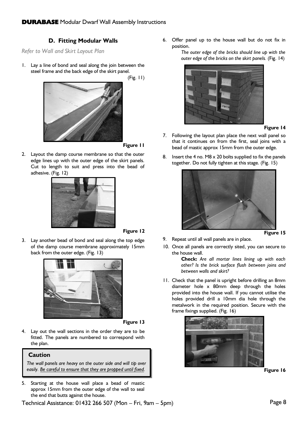# **D. Fitting Modular Walls**

*Refer to Wall and Skirt Layout Plan*

1. Lay a line of bond and seal along the join between the steel frame and the back edge of the skirt panel. (Fig. 11)



**Figure 11**

2. Layout the damp course membrane so that the outer edge lines up with the outer edge of the skirt panels. Cut to length to suit and press into the bead of adhesive. (Fig. 12)



**Figure 12**

3. Lay another bead of bond and seal along the top edge of the damp course membrane approximately 15mm back from the outer edge. (Fig. 13)



**Figure 13**

4. Lay out the wall sections in the order they are to be fitted. The panels are numbered to correspond with the plan.

#### **Caution**

*The wall panels are heavy on the outer side and will tip over easily. Be careful to ensure that they are propped until fixed.*

5. Starting at the house wall place a bead of mastic approx 15mm from the outer edge of the wall to seal the end that butts against the house.

Technical Assistance: 01432 266 507 (Mon – Fri, 9am – 5pm)

6. Offer panel up to the house wall but do not fix in position.

*The outer edge of the bricks should line up with the outer edge of the bricks on the skirt panels.* (Fig. 14)



#### **Figure 14**

- 7. Following the layout plan place the next wall panel so that it continues on from the first, seal joins with a bead of mastic approx 15mm from the outer edge.
- 8. Insert the 4 no. M8 x 20 bolts supplied to fix the panels together. Do not fully tighten at this stage. (Fig. 15)



- 9. Repeat until all wall panels are in place.
- 10. Once all panels are correctly sited, you can secure to the house wall.

**Check:** *Are all mortar lines lining up with each other? Is the brick surface flush between joins and between walls and skirt?*

11. Check that the panel is upright before drilling an 8mm diameter hole x 80mm deep through the holes provided into the house wall. If you cannot utilise the holes provided drill a 10mm dia hole through the metalwork in the required position. Secure with the frame fixings supplied. (Fig. 16)





Page 8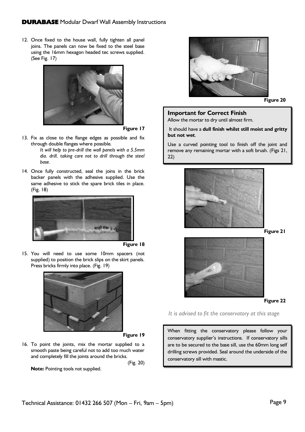12. Once fixed to the house wall, fully tighten all panel joins. The panels can now be fixed to the steel base using the 16mm hexagon headed tec screws supplied. (See Fig. 17)



**Figure 17**

13. Fix as close to the flange edges as possible and fix through double flanges where possible.

> *It will help to pre-drill the wall panels with a 5.5mm dia. drill, taking care not to drill through the steel base.*

14. Once fully constructed, seal the joins in the brick backer panels with the adhesive supplied. Use the same adhesive to stick the spare brick tiles in place. (Fig. 18)



**Figure 18**

15. You will need to use some 10mm spacers (not supplied) to position the brick slips on the skirt panels. Press bricks firmly into place. (Fig. 19)



**Figure 19**

16. To point the joints, mix the mortar supplied to a smooth paste being careful not to add too much water and completely fill the joints around the bricks.

(Fig. 20)

**Note:** Pointing tools not supplied.



**Figure 20**

#### **Important for Correct Finish**

Allow the mortar to dry until almost firm.

It should have a **dull finish whilst still moist and gritty but not wet**.

Use a curved pointing tool to finish off the joint and remove any remaining mortar with a soft brush. (Figs 21, 22)



**Figure 21**



#### **Figure 22**

*It is advised to fit the conservatory at this stage*

When fitting the conservatory please follow your conservatory supplier's instructions. If conservatory sills are to be secured to the base sill, use the 60mm long self drilling screws provided. Seal around the underside of the conservatory sill with mastic.